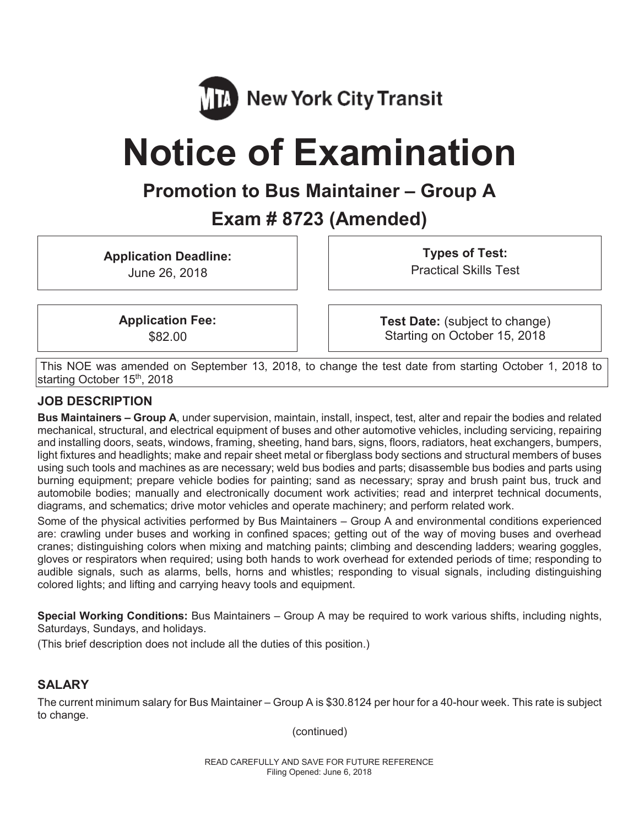

# **Notice of Examination**

## **Promotion to Bus Maintainer – Group A**

## **Exam # 8723 (Amended)**

**Application Deadline:** 

June 26, 2018

**Types of Test:**  Practical Skills Test

**Application Fee:**  \$82.00

**Test Date:** (subject to change) Starting on October 15, 2018

This NOE was amended on September 13, 2018, to change the test date from starting October 1, 2018 to starting October 15<sup>th</sup>, 2018

#### **JOB DESCRIPTION**

**Bus Maintainers – Group A**, under supervision, maintain, install, inspect, test, alter and repair the bodies and related mechanical, structural, and electrical equipment of buses and other automotive vehicles, including servicing, repairing and installing doors, seats, windows, framing, sheeting, hand bars, signs, floors, radiators, heat exchangers, bumpers, light fixtures and headlights; make and repair sheet metal or fiberglass body sections and structural members of buses using such tools and machines as are necessary; weld bus bodies and parts; disassemble bus bodies and parts using burning equipment; prepare vehicle bodies for painting; sand as necessary; spray and brush paint bus, truck and automobile bodies; manually and electronically document work activities; read and interpret technical documents, diagrams, and schematics; drive motor vehicles and operate machinery; and perform related work.

Some of the physical activities performed by Bus Maintainers – Group A and environmental conditions experienced are: crawling under buses and working in confined spaces; getting out of the way of moving buses and overhead cranes; distinguishing colors when mixing and matching paints; climbing and descending ladders; wearing goggles, gloves or respirators when required; using both hands to work overhead for extended periods of time; responding to audible signals, such as alarms, bells, horns and whistles; responding to visual signals, including distinguishing colored lights; and lifting and carrying heavy tools and equipment.

**Special Working Conditions:** Bus Maintainers – Group A may be required to work various shifts, including nights, Saturdays, Sundays, and holidays.

(This brief description does not include all the duties of this position.)

#### **SALARY**

The current minimum salary for Bus Maintainer – Group A is \$30.8124 per hour for a 40-hour week. This rate is subject to change.

(continued)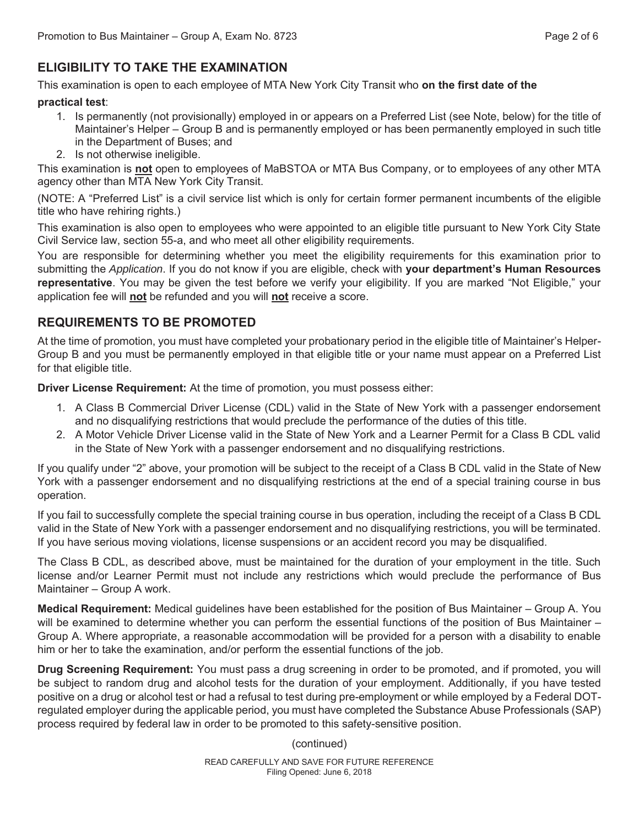### **ELIGIBILITY TO TAKE THE EXAMINATION**

This examination is open to each employee of MTA New York City Transit who **on the first date of the** 

#### **practical test**:

- 1. Is permanently (not provisionally) employed in or appears on a Preferred List (see Note, below) for the title of Maintainer's Helper – Group B and is permanently employed or has been permanently employed in such title in the Department of Buses; and
- 2. Is not otherwise ineligible.

This examination is **not** open to employees of MaBSTOA or MTA Bus Company, or to employees of any other MTA agency other than MTA New York City Transit.

(NOTE: A "Preferred List" is a civil service list which is only for certain former permanent incumbents of the eligible title who have rehiring rights.)

This examination is also open to employees who were appointed to an eligible title pursuant to New York City State Civil Service law, section 55-a, and who meet all other eligibility requirements.

You are responsible for determining whether you meet the eligibility requirements for this examination prior to submitting the *Application*. If you do not know if you are eligible, check with **your department's Human Resources representative**. You may be given the test before we verify your eligibility. If you are marked "Not Eligible," your application fee will **not** be refunded and you will **not** receive a score.

#### **REQUIREMENTS TO BE PROMOTED**

At the time of promotion, you must have completed your probationary period in the eligible title of Maintainer's Helper-Group B and you must be permanently employed in that eligible title or your name must appear on a Preferred List for that eligible title.

**Driver License Requirement:** At the time of promotion, you must possess either:

- 1. A Class B Commercial Driver License (CDL) valid in the State of New York with a passenger endorsement and no disqualifying restrictions that would preclude the performance of the duties of this title.
- 2. A Motor Vehicle Driver License valid in the State of New York and a Learner Permit for a Class B CDL valid in the State of New York with a passenger endorsement and no disqualifying restrictions.

If you qualify under "2" above, your promotion will be subject to the receipt of a Class B CDL valid in the State of New York with a passenger endorsement and no disqualifying restrictions at the end of a special training course in bus operation.

If you fail to successfully complete the special training course in bus operation, including the receipt of a Class B CDL valid in the State of New York with a passenger endorsement and no disqualifying restrictions, you will be terminated. If you have serious moving violations, license suspensions or an accident record you may be disqualified.

The Class B CDL, as described above, must be maintained for the duration of your employment in the title. Such license and/or Learner Permit must not include any restrictions which would preclude the performance of Bus Maintainer – Group A work.

**Medical Requirement:** Medical guidelines have been established for the position of Bus Maintainer – Group A. You will be examined to determine whether you can perform the essential functions of the position of Bus Maintainer – Group A. Where appropriate, a reasonable accommodation will be provided for a person with a disability to enable him or her to take the examination, and/or perform the essential functions of the job.

**Drug Screening Requirement:** You must pass a drug screening in order to be promoted, and if promoted, you will be subject to random drug and alcohol tests for the duration of your employment. Additionally, if you have tested positive on a drug or alcohol test or had a refusal to test during pre-employment or while employed by a Federal DOTregulated employer during the applicable period, you must have completed the Substance Abuse Professionals (SAP) process required by federal law in order to be promoted to this safety-sensitive position.

(continued)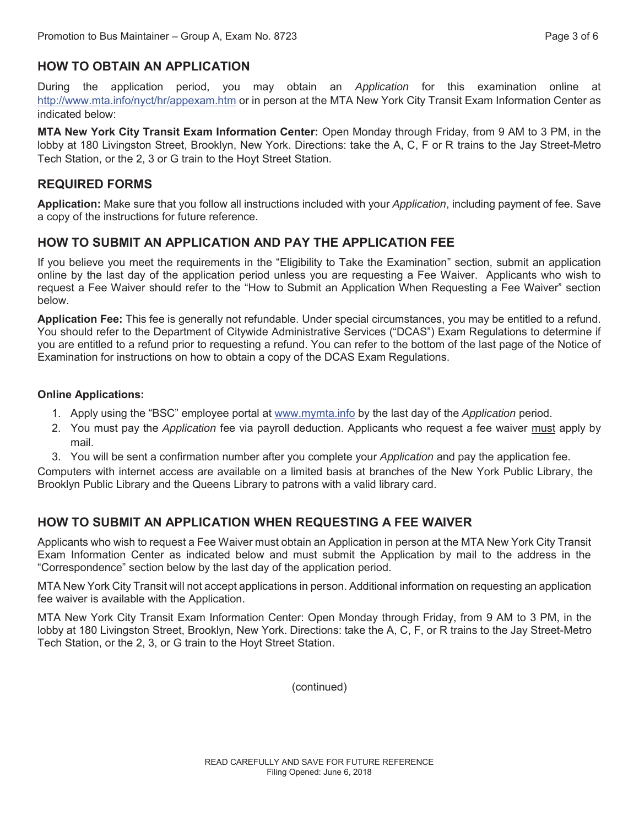#### **HOW TO OBTAIN AN APPLICATION**

During the application period, you may obtain an *Application* for this examination online at http://www.mta.info/nyct/hr/appexam.htm or in person at the MTA New York City Transit Exam Information Center as indicated below:

**MTA New York City Transit Exam Information Center:** Open Monday through Friday, from 9 AM to 3 PM, in the lobby at 180 Livingston Street, Brooklyn, New York. Directions: take the A, C, F or R trains to the Jay Street-Metro Tech Station, or the 2, 3 or G train to the Hoyt Street Station.

#### **REQUIRED FORMS**

**Application:** Make sure that you follow all instructions included with your *Application*, including payment of fee. Save a copy of the instructions for future reference.

#### **HOW TO SUBMIT AN APPLICATION AND PAY THE APPLICATION FEE**

If you believe you meet the requirements in the "Eligibility to Take the Examination" section, submit an application online by the last day of the application period unless you are requesting a Fee Waiver. Applicants who wish to request a Fee Waiver should refer to the "How to Submit an Application When Requesting a Fee Waiver" section below.

**Application Fee:** This fee is generally not refundable. Under special circumstances, you may be entitled to a refund. You should refer to the Department of Citywide Administrative Services ("DCAS") Exam Regulations to determine if you are entitled to a refund prior to requesting a refund. You can refer to the bottom of the last page of the Notice of Examination for instructions on how to obtain a copy of the DCAS Exam Regulations.

#### **Online Applications:**

- 1. Apply using the "BSC" employee portal at www.mymta.info by the last day of the *Application* period.
- 2. You must pay the *Application* fee via payroll deduction. Applicants who request a fee waiver must apply by mail.
- 3. You will be sent a confirmation number after you complete your *Application* and pay the application fee.

Computers with internet access are available on a limited basis at branches of the New York Public Library, the Brooklyn Public Library and the Queens Library to patrons with a valid library card.

#### **HOW TO SUBMIT AN APPLICATION WHEN REQUESTING A FEE WAIVER**

Applicants who wish to request a Fee Waiver must obtain an Application in person at the MTA New York City Transit Exam Information Center as indicated below and must submit the Application by mail to the address in the "Correspondence" section below by the last day of the application period.

MTA New York City Transit will not accept applications in person. Additional information on requesting an application fee waiver is available with the Application.

MTA New York City Transit Exam Information Center: Open Monday through Friday, from 9 AM to 3 PM, in the lobby at 180 Livingston Street, Brooklyn, New York. Directions: take the A, C, F, or R trains to the Jay Street-Metro Tech Station, or the 2, 3, or G train to the Hoyt Street Station.

(continued)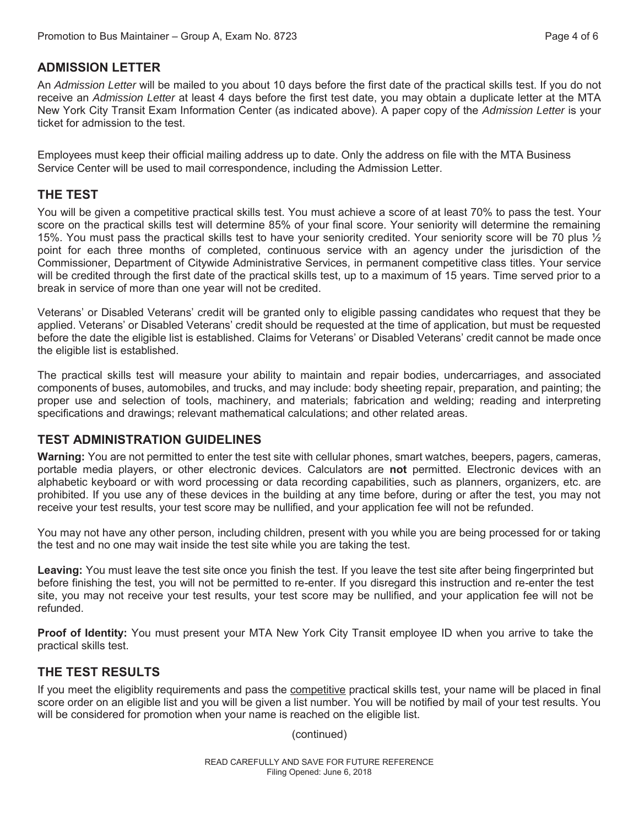#### **ADMISSION LETTER**

An *Admission Letter* will be mailed to you about 10 days before the first date of the practical skills test. If you do not receive an *Admission Letter* at least 4 days before the first test date, you may obtain a duplicate letter at the MTA New York City Transit Exam Information Center (as indicated above). A paper copy of the *Admission Letter* is your ticket for admission to the test.

Employees must keep their official mailing address up to date. Only the address on file with the MTA Business Service Center will be used to mail correspondence, including the Admission Letter.

#### **THE TEST**

You will be given a competitive practical skills test. You must achieve a score of at least 70% to pass the test. Your score on the practical skills test will determine 85% of your final score. Your seniority will determine the remaining 15%. You must pass the practical skills test to have your seniority credited. Your seniority score will be 70 plus  $\frac{1}{2}$ point for each three months of completed, continuous service with an agency under the jurisdiction of the Commissioner, Department of Citywide Administrative Services, in permanent competitive class titles. Your service will be credited through the first date of the practical skills test, up to a maximum of 15 years. Time served prior to a break in service of more than one year will not be credited.

Veterans' or Disabled Veterans' credit will be granted only to eligible passing candidates who request that they be applied. Veterans' or Disabled Veterans' credit should be requested at the time of application, but must be requested before the date the eligible list is established. Claims for Veterans' or Disabled Veterans' credit cannot be made once the eligible list is established.

The practical skills test will measure your ability to maintain and repair bodies, undercarriages, and associated components of buses, automobiles, and trucks, and may include: body sheeting repair, preparation, and painting; the proper use and selection of tools, machinery, and materials; fabrication and welding; reading and interpreting specifications and drawings; relevant mathematical calculations; and other related areas.

#### **TEST ADMINISTRATION GUIDELINES**

**Warning:** You are not permitted to enter the test site with cellular phones, smart watches, beepers, pagers, cameras, portable media players, or other electronic devices. Calculators are **not** permitted. Electronic devices with an alphabetic keyboard or with word processing or data recording capabilities, such as planners, organizers, etc. are prohibited. If you use any of these devices in the building at any time before, during or after the test, you may not receive your test results, your test score may be nullified, and your application fee will not be refunded.

You may not have any other person, including children, present with you while you are being processed for or taking the test and no one may wait inside the test site while you are taking the test.

**Leaving:** You must leave the test site once you finish the test. If you leave the test site after being fingerprinted but before finishing the test, you will not be permitted to re-enter. If you disregard this instruction and re-enter the test site, you may not receive your test results, your test score may be nullified, and your application fee will not be refunded.

**Proof of Identity:** You must present your MTA New York City Transit employee ID when you arrive to take the practical skills test.

#### **THE TEST RESULTS**

If you meet the eligiblity requirements and pass the competitive practical skills test, your name will be placed in final score order on an eligible list and you will be given a list number. You will be notified by mail of your test results. You will be considered for promotion when your name is reached on the eligible list.

(continued)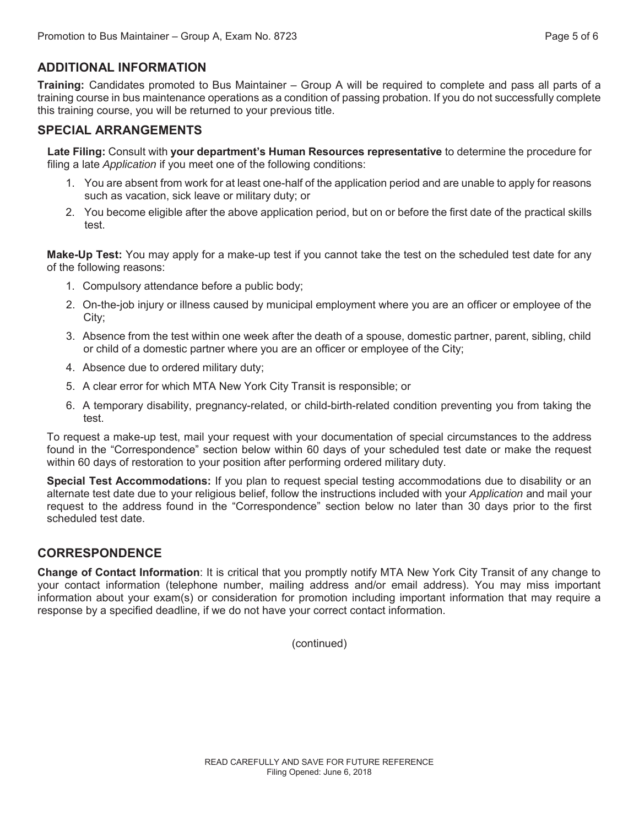#### **ADDITIONAL INFORMATION**

**Training:** Candidates promoted to Bus Maintainer – Group A will be required to complete and pass all parts of a training course in bus maintenance operations as a condition of passing probation. If you do not successfully complete this training course, you will be returned to your previous title.

#### **SPECIAL ARRANGEMENTS**

**Late Filing:** Consult with **your department's Human Resources representative** to determine the procedure for filing a late *Application* if you meet one of the following conditions:

- 1. You are absent from work for at least one-half of the application period and are unable to apply for reasons such as vacation, sick leave or military duty; or
- 2. You become eligible after the above application period, but on or before the first date of the practical skills test.

**Make-Up Test:** You may apply for a make-up test if you cannot take the test on the scheduled test date for any of the following reasons:

- 1. Compulsory attendance before a public body;
- 2. On-the-job injury or illness caused by municipal employment where you are an officer or employee of the City;
- 3. Absence from the test within one week after the death of a spouse, domestic partner, parent, sibling, child or child of a domestic partner where you are an officer or employee of the City;
- 4. Absence due to ordered military duty;
- 5. A clear error for which MTA New York City Transit is responsible; or
- 6. A temporary disability, pregnancy-related, or child-birth-related condition preventing you from taking the test.

To request a make-up test, mail your request with your documentation of special circumstances to the address found in the "Correspondence" section below within 60 days of your scheduled test date or make the request within 60 days of restoration to your position after performing ordered military duty.

**Special Test Accommodations:** If you plan to request special testing accommodations due to disability or an alternate test date due to your religious belief, follow the instructions included with your *Application* and mail your request to the address found in the "Correspondence" section below no later than 30 days prior to the first scheduled test date.

#### **CORRESPONDENCE**

**Change of Contact Information**: It is critical that you promptly notify MTA New York City Transit of any change to your contact information (telephone number, mailing address and/or email address). You may miss important information about your exam(s) or consideration for promotion including important information that may require a response by a specified deadline, if we do not have your correct contact information.

(continued)